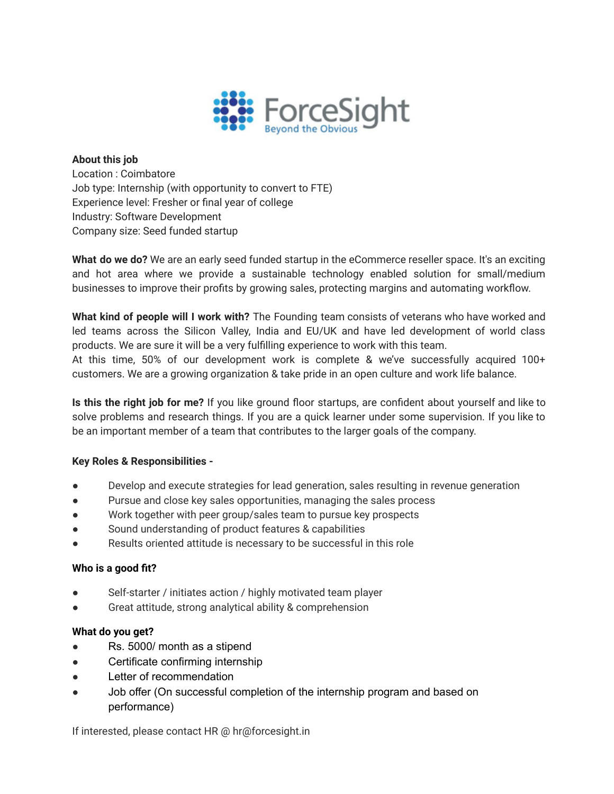

## **About this job** Location : Coimbatore Job type: Internship (with opportunity to convert to FTE) Experience level: Fresher or final year of college Industry: Software Development Company size: Seed funded startup

**What do we do?** We are an early seed funded startup in the eCommerce reseller space. It's an exciting and hot area where we provide a sustainable technology enabled solution for small/medium businesses to improve their profits by growing sales, protecting margins and automating workflow.

**What kind of people will I work with?** The Founding team consists of veterans who have worked and led teams across the Silicon Valley, India and EU/UK and have led development of world class products. We are sure it will be a very fulfilling experience to work with this team.

At this time, 50% of our development work is complete & we've successfully acquired 100+ customers. We are a growing organization & take pride in an open culture and work life balance.

**Is this the right job for me?** If you like ground floor startups, are confident about yourself and like to solve problems and research things. If you are a quick learner under some supervision. If you like to be an important member of a team that contributes to the larger goals of the company.

## **Key Roles & Responsibilities -**

- Develop and execute strategies for lead generation, sales resulting in revenue generation
- Pursue and close key sales opportunities, managing the sales process
- Work together with peer group/sales team to pursue key prospects
- Sound understanding of product features & capabilities
- Results oriented attitude is necessary to be successful in this role

## **Who is a good fit?**

- Self-starter / initiates action / highly motivated team player
- Great attitude, strong analytical ability & comprehension

## **What do you get?**

- Rs. 5000/ month as a stipend
- Certificate confirming internship
- Letter of recommendation
- Job offer (On successful completion of the internship program and based on performance)

If interested, please contact HR @ hr@forcesight.in